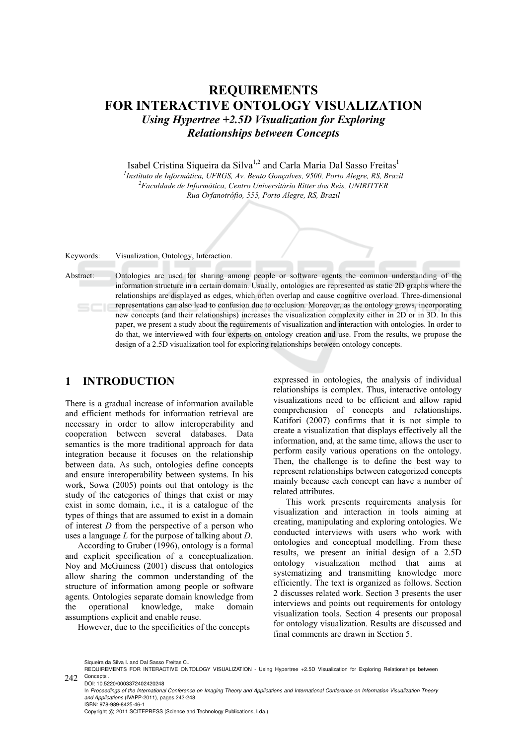# **REQUIREMENTS FOR INTERACTIVE ONTOLOGY VISUALIZATION**  *Using Hypertree +2.5D Visualization for Exploring Relationships between Concepts*

Isabel Cristina Siqueira da Silva<sup>1,2</sup> and Carla Maria Dal Sasso Freitas<sup>1</sup>

*1 Instituto de Informática, UFRGS, Av. Bento Gonçalves, 9500, Porto Alegre, RS, Brazil 2 Faculdade de Informática, Centro Universitário Ritter dos Reis, UNIRITTER Rua Orfanotrófio, 555, Porto Alegre, RS, Brazil* 

Keywords: Visualization, Ontology, Interaction.

Abstract: Ontologies are used for sharing among people or software agents the common understanding of the information structure in a certain domain. Usually, ontologies are represented as static 2D graphs where the relationships are displayed as edges, which often overlap and cause cognitive overload. Three-dimensional representations can also lead to confusion due to occlusion. Moreover, as the ontology grows, incorporating new concepts (and their relationships) increases the visualization complexity either in 2D or in 3D. In this paper, we present a study about the requirements of visualization and interaction with ontologies. In order to do that, we interviewed with four experts on ontology creation and use. From the results, we propose the design of a 2.5D visualization tool for exploring relationships between ontology concepts.

# **1 INTRODUCTION**

There is a gradual increase of information available and efficient methods for information retrieval are necessary in order to allow interoperability and cooperation between several databases. Data semantics is the more traditional approach for data integration because it focuses on the relationship between data. As such, ontologies define concepts and ensure interoperability between systems. In his work, Sowa (2005) points out that ontology is the study of the categories of things that exist or may exist in some domain, i.e., it is a catalogue of the types of things that are assumed to exist in a domain of interest *D* from the perspective of a person who uses a language *L* for the purpose of talking about *D*.

According to Gruber (1996), ontology is a formal and explicit specification of a conceptualization. Noy and McGuiness (2001) discuss that ontologies allow sharing the common understanding of the structure of information among people or software agents. Ontologies separate domain knowledge from<br>the operational knowledge, make domain the operational knowledge, make domain assumptions explicit and enable reuse.

However, due to the specificities of the concepts

expressed in ontologies, the analysis of individual relationships is complex. Thus, interactive ontology visualizations need to be efficient and allow rapid comprehension of concepts and relationships. Katifori (2007) confirms that it is not simple to create a visualization that displays effectively all the information, and, at the same time, allows the user to perform easily various operations on the ontology. Then, the challenge is to define the best way to represent relationships between categorized concepts mainly because each concept can have a number of related attributes.

This work presents requirements analysis for visualization and interaction in tools aiming at creating, manipulating and exploring ontologies. We conducted interviews with users who work with ontologies and conceptual modelling. From these results, we present an initial design of a 2.5D ontology visualization method that aims at systematizing and transmitting knowledge more efficiently. The text is organized as follows. Section 2 discusses related work. Section 3 presents the user interviews and points out requirements for ontology visualization tools. Section 4 presents our proposal for ontology visualization. Results are discussed and final comments are drawn in Section 5.

DOI: 10.5220/0003372402420248 In *Proceedings of the International Conference on Imaging Theory and Applications and International Conference on Information Visualization Theory and Applications* (IVAPP-2011), pages 242-248 ISBN: 978-989-8425-46-1 Copyright © 2011 SCITEPRESS (Science and Technology Publications, Lda.)

Siqueira da Silva I. and Dal Sasso Freitas C..

<sup>242</sup> Concepts. REQUIREMENTS FOR INTERACTIVE ONTOLOGY VISUALIZATION - Using Hypertree +2.5D Visualization for Exploring Relationships between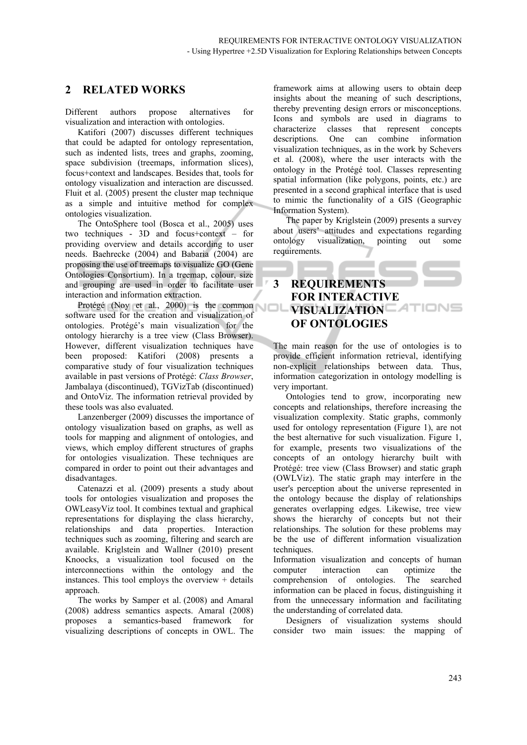## **2 RELATED WORKS**

Different authors propose alternatives for visualization and interaction with ontologies.

Katifori (2007) discusses different techniques that could be adapted for ontology representation, such as indented lists, trees and graphs, zooming, space subdivision (treemaps, information slices), focus+context and landscapes. Besides that, tools for ontology visualization and interaction are discussed. Fluit et al. (2005) present the cluster map technique as a simple and intuitive method for complex ontologies visualization.

The OntoSphere tool (Bosca et al., 2005) uses two techniques - 3D and focus+context – for providing overview and details according to user needs. Baehrecke (2004) and Babaria (2004) are proposing the use of treemaps to visualize GO (Gene Ontologies Consortium). In a treemap, colour, size and grouping are used in order to facilitate user interaction and information extraction.

Protégé (Noy et al., 2000) is the common software used for the creation and visualization of ontologies. Protégé's main visualization for the ontology hierarchy is a tree view (Class Browser). However, different visualization techniques have been proposed: Katifori (2008) presents a comparative study of four visualization techniques available in past versions of Protégé: *Class Browser*, Jambalaya (discontinued), TGVizTab (discontinued) and OntoViz. The information retrieval provided by these tools was also evaluated.

Lanzenberger (2009) discusses the importance of ontology visualization based on graphs, as well as tools for mapping and alignment of ontologies, and views, which employ different structures of graphs for ontologies visualization. These techniques are compared in order to point out their advantages and disadvantages.

Catenazzi et al. (2009) presents a study about tools for ontologies visualization and proposes the OWLeasyViz tool. It combines textual and graphical representations for displaying the class hierarchy, relationships and data properties. Interaction techniques such as zooming, filtering and search are available. Kriglstein and Wallner (2010) present Knoocks, a visualization tool focused on the interconnections within the ontology and the instances. This tool employs the overview + details approach.

The works by Samper et al. (2008) and Amaral (2008) address semantics aspects. Amaral (2008) proposes a semantics-based framework for visualizing descriptions of concepts in OWL. The

framework aims at allowing users to obtain deep insights about the meaning of such descriptions, thereby preventing design errors or misconceptions. Icons and symbols are used in diagrams to characterize classes that represent concepts descriptions. One can combine information visualization techniques, as in the work by Schevers et al. (2008), where the user interacts with the ontology in the Protégé tool. Classes representing spatial information (like polygons, points, etc.) are presented in a second graphical interface that is used to mimic the functionality of a GIS (Geographic Information System).

The paper by Kriglstein (2009) presents a survey about users' attitudes and expectations regarding ontology visualization, pointing out some requirements.

# **3 REQUIREMENTS FOR INTERACTIVE VISUALIZATION ATION OF ONTOLOGIES**

The main reason for the use of ontologies is to provide efficient information retrieval, identifying non-explicit relationships between data. Thus, information categorization in ontology modelling is very important.

Ontologies tend to grow, incorporating new concepts and relationships, therefore increasing the visualization complexity. Static graphs, commonly used for ontology representation (Figure 1), are not the best alternative for such visualization. Figure 1, for example, presents two visualizations of the concepts of an ontology hierarchy built with Protégé: tree view (Class Browser) and static graph (OWLViz). The static graph may interfere in the user's perception about the universe represented in the ontology because the display of relationships generates overlapping edges. Likewise, tree view shows the hierarchy of concepts but not their relationships. The solution for these problems may be the use of different information visualization techniques.

Information visualization and concepts of human computer interaction can optimize the comprehension of ontologies. The searched information can be placed in focus, distinguishing it from the unnecessary information and facilitating the understanding of correlated data.

Designers of visualization systems should consider two main issues: the mapping of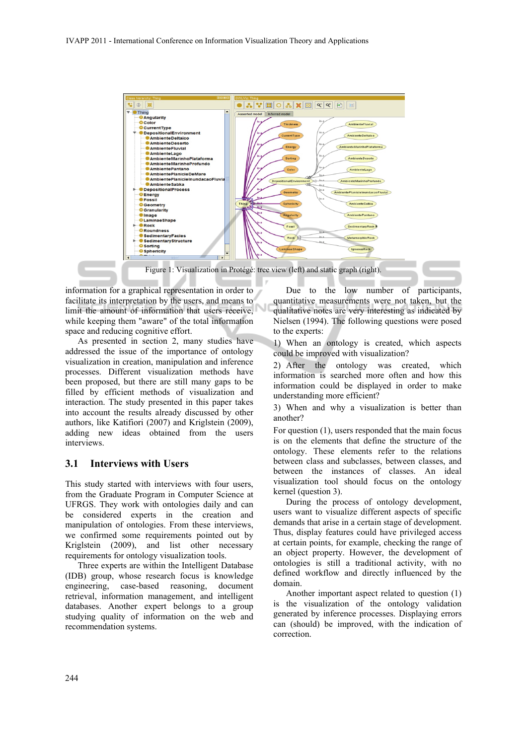

information for a graphical representation in order to facilitate its interpretation by the users, and means to limit the amount of information that users receive, while keeping them "aware" of the total information space and reducing cognitive effort.

As presented in section 2, many studies have addressed the issue of the importance of ontology visualization in creation, manipulation and inference processes. Different visualization methods have been proposed, but there are still many gaps to be filled by efficient methods of visualization and interaction. The study presented in this paper takes into account the results already discussed by other authors, like Katifiori (2007) and Kriglstein (2009), adding new ideas obtained from the users interviews.

#### **3.1 Interviews with Users**

This study started with interviews with four users, from the Graduate Program in Computer Science at UFRGS. They work with ontologies daily and can be considered experts in the creation and manipulation of ontologies. From these interviews, we confirmed some requirements pointed out by Kriglstein (2009), and list other necessary requirements for ontology visualization tools.

Three experts are within the Intelligent Database (IDB) group, whose research focus is knowledge engineering, case-based reasoning, document retrieval, information management, and intelligent databases. Another expert belongs to a group studying quality of information on the web and recommendation systems.

Due to the low number of participants, quantitative measurements were not taken, but the qualitative notes are very interesting as indicated by Nielsen (1994). The following questions were posed to the experts:

1) When an ontology is created, which aspects could be improved with visualization?

2) After the ontology was created, which information is searched more often and how this information could be displayed in order to make understanding more efficient?

3) When and why a visualization is better than another?

For question (1), users responded that the main focus is on the elements that define the structure of the ontology. These elements refer to the relations between class and subclasses, between classes, and between the instances of classes. An ideal visualization tool should focus on the ontology kernel (question 3).

During the process of ontology development, users want to visualize different aspects of specific demands that arise in a certain stage of development. Thus, display features could have privileged access at certain points, for example, checking the range of an object property. However, the development of ontologies is still a traditional activity, with no defined workflow and directly influenced by the domain.

Another important aspect related to question (1) is the visualization of the ontology validation generated by inference processes. Displaying errors can (should) be improved, with the indication of correction.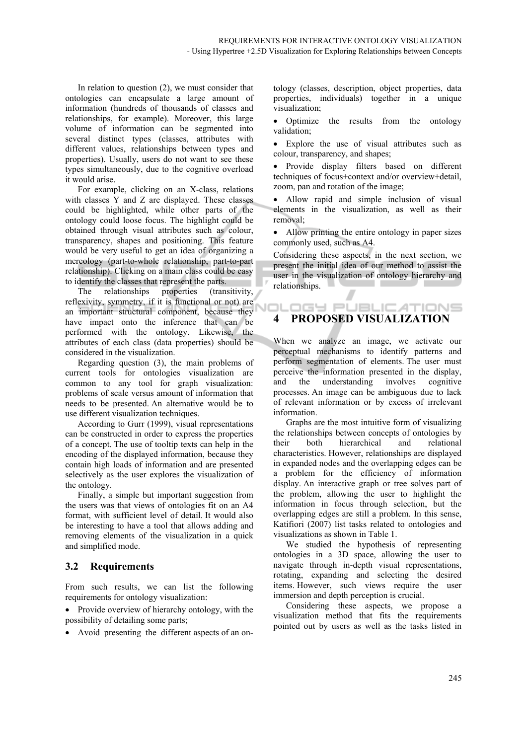In relation to question (2), we must consider that ontologies can encapsulate a large amount of information (hundreds of thousands of classes and relationships, for example). Moreover, this large volume of information can be segmented into several distinct types (classes, attributes with different values, relationships between types and properties). Usually, users do not want to see these types simultaneously, due to the cognitive overload it would arise.

For example, clicking on an X-class, relations with classes Y and Z are displayed. These classes could be highlighted, while other parts of the ontology could loose focus. The highlight could be obtained through visual attributes such as colour, transparency, shapes and positioning. This feature would be very useful to get an idea of organizing a mereology (part-to-whole relationship, part-to-part relationship). Clicking on a main class could be easy to identify the classes that represent the parts.

The relationships properties (transitivity, reflexivity, symmetry, if it is functional or not) are an important structural component, because they have impact onto the inference that can be performed with the ontology. Likewise, the attributes of each class (data properties) should be considered in the visualization.

Regarding question (3), the main problems of current tools for ontologies visualization are common to any tool for graph visualization: problems of scale versus amount of information that needs to be presented. An alternative would be to use different visualization techniques.

According to Gurr (1999), visual representations can be constructed in order to express the properties of a concept. The use of tooltip texts can help in the encoding of the displayed information, because they contain high loads of information and are presented selectively as the user explores the visualization of the ontology.

Finally, a simple but important suggestion from the users was that views of ontologies fit on an A4 format, with sufficient level of detail. It would also be interesting to have a tool that allows adding and removing elements of the visualization in a quick and simplified mode.

#### **3.2 Requirements**

From such results, we can list the following requirements for ontology visualization:

• Provide overview of hierarchy ontology, with the possibility of detailing some parts;

Avoid presenting the different aspects of an on-

tology (classes, description, object properties, data properties, individuals) together in a unique visualization;

• Optimize the results from the ontology validation;

 Explore the use of visual attributes such as colour, transparency, and shapes;

 Provide display filters based on different techniques of focus+context and/or overview+detail, zoom, pan and rotation of the image;

• Allow rapid and simple inclusion of visual elements in the visualization, as well as their removal;

• Allow printing the entire ontology in paper sizes commonly used, such as A4.

Considering these aspects, in the next section, we present the initial idea of our method to assist the user in the visualization of ontology hierarchy and relationships.

#### .OGY PUBLIC*A*TIONS **4 PROPOSED VISUALIZATION**

When we analyze an image, we activate our perceptual mechanisms to identify patterns and perform segmentation of elements. The user must perceive the information presented in the display, and the understanding involves cognitive processes. An image can be ambiguous due to lack of relevant information or by excess of irrelevant information.

Graphs are the most intuitive form of visualizing the relationships between concepts of ontologies by their both hierarchical and relational characteristics. However, relationships are displayed in expanded nodes and the overlapping edges can be a problem for the efficiency of information display. An interactive graph or tree solves part of the problem, allowing the user to highlight the information in focus through selection, but the overlapping edges are still a problem. In this sense, Katifiori (2007) list tasks related to ontologies and visualizations as shown in Table 1.

We studied the hypothesis of representing ontologies in a 3D space, allowing the user to navigate through in-depth visual representations, rotating, expanding and selecting the desired items. However, such views require the user immersion and depth perception is crucial.

Considering these aspects, we propose a visualization method that fits the requirements pointed out by users as well as the tasks listed in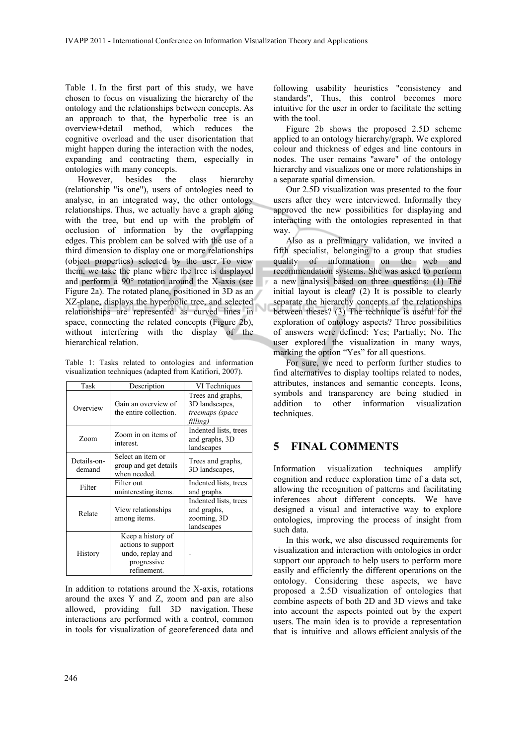Table 1. In the first part of this study, we have chosen to focus on visualizing the hierarchy of the ontology and the relationships between concepts. As an approach to that, the hyperbolic tree is an overview+detail method, which reduces the cognitive overload and the user disorientation that might happen during the interaction with the nodes, expanding and contracting them, especially in ontologies with many concepts.

However, besides the class hierarchy (relationship "is one"), users of ontologies need to analyse, in an integrated way, the other ontology relationships. Thus, we actually have a graph along with the tree, but end up with the problem of occlusion of information by the overlapping edges. This problem can be solved with the use of a third dimension to display one or more relationships (object properties) selected by the user. To view them, we take the plane where the tree is displayed and perform a 90° rotation around the X-axis (see Figure 2a). The rotated plane, positioned in 3D as an XZ-plane, displays the hyperbolic tree, and selected relationships are represented as curved lines in space, connecting the related concepts (Figure 2b), without interfering with the display of the hierarchical relation.

Table 1: Tasks related to ontologies and information visualization techniques (adapted from Katifiori, 2007).

| Task                  | Description                                                                               | VI Techniques                                                      |
|-----------------------|-------------------------------------------------------------------------------------------|--------------------------------------------------------------------|
| Overview              | Gain an overview of<br>the entire collection.                                             | Trees and graphs,<br>3D landscapes,<br>treemaps (space<br>filling) |
| Zoom                  | Zoom in on items of<br>interest.                                                          | Indented lists, trees<br>and graphs, 3D<br>landscapes              |
| Details-on-<br>demand | Select an item or<br>group and get details<br>when needed.                                | Trees and graphs,<br>3D landscapes,                                |
| Filter                | Filter out<br>uninteresting items.                                                        | Indented lists, trees<br>and graphs                                |
| Relate                | View relationships<br>among items.                                                        | Indented lists, trees<br>and graphs,<br>zooming, 3D<br>landscapes  |
| History               | Keep a history of<br>actions to support<br>undo, replay and<br>progressive<br>refinement. |                                                                    |

In addition to rotations around the X-axis, rotations around the axes Y and Z, zoom and pan are also allowed, providing full 3D navigation. These interactions are performed with a control, common in tools for visualization of georeferenced data and

following usability heuristics "consistency and standards", Thus, this control becomes more intuitive for the user in order to facilitate the setting with the tool.

Figure 2b shows the proposed 2.5D scheme applied to an ontology hierarchy/graph. We explored colour and thickness of edges and line contours in nodes. The user remains "aware" of the ontology hierarchy and visualizes one or more relationships in a separate spatial dimension.

Our 2.5D visualization was presented to the four users after they were interviewed. Informally they approved the new possibilities for displaying and interacting with the ontologies represented in that way.

Also as a preliminary validation, we invited a fifth specialist, belonging to a group that studies quality of information on the web and recommendation systems. She was asked to perform a new analysis based on three questions: (1) The initial layout is clear? (2) It is possible to clearly separate the hierarchy concepts of the relationships between theses? (3) The technique is useful for the exploration of ontology aspects? Three possibilities of answers were defined: Yes; Partially; No. The user explored the visualization in many ways, marking the option "Yes" for all questions.

For sure, we need to perform further studies to find alternatives to display tooltips related to nodes, attributes, instances and semantic concepts. Icons, symbols and transparency are being studied in addition to other information visualization techniques.

# **5 FINAL COMMENTS**

Information visualization techniques amplify cognition and reduce exploration time of a data set, allowing the recognition of patterns and facilitating inferences about different concepts. We have designed a visual and interactive way to explore ontologies, improving the process of insight from such data.

In this work, we also discussed requirements for visualization and interaction with ontologies in order support our approach to help users to perform more easily and efficiently the different operations on the ontology. Considering these aspects, we have proposed a 2.5D visualization of ontologies that combine aspects of both 2D and 3D views and take into account the aspects pointed out by the expert users. The main idea is to provide a representation that is intuitive and allows efficient analysis of the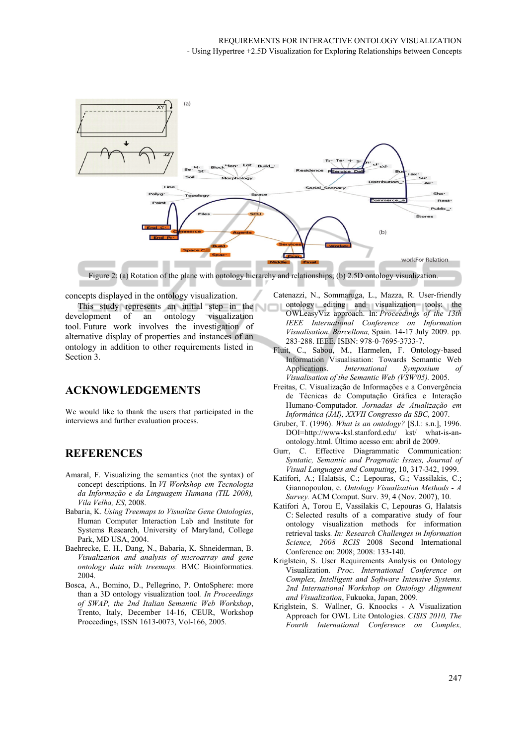

Figure 2: (a) Rotation of the plane with ontology hierarchy and relationships; (b) 2.5D ontology visualization.

concepts displayed in the ontology visualization.

This study represents an initial step in the development of an ontology visualization tool. Future work involves the investigation of alternative display of properties and instances of an ontology in addition to other requirements listed in Section 3.

## **ACKNOWLEDGEMENTS**

We would like to thank the users that participated in the interviews and further evaluation process.

## **REFERENCES**

- Amaral, F. Visualizing the semantics (not the syntax) of concept descriptions. In *VI Workshop em Tecnologia da Informação e da Linguagem Humana (TIL 2008), Vila Velha, ES*, 2008.
- Babaria, K. *Using Treemaps to Visualize Gene Ontologies*, Human Computer Interaction Lab and Institute for Systems Research, University of Maryland, College Park, MD USA, 2004.
- Baehrecke, E. H., Dang, N., Babaria, K. Shneiderman, B. *Visualization and analysis of microarray and gene ontology data with treemaps.* BMC Bioinformatics. 2004.
- Bosca, A., Bomino, D., Pellegrino, P. OntoSphere: more than a 3D ontology visualization tool*. In Proceedings of SWAP, the 2nd Italian Semantic Web Workshop*, Trento, Italy, December 14-16, CEUR, Workshop Proceedings, ISSN 1613-0073, Vol-166, 2005.
- Catenazzi, N., Sommaruga, L., Mazza, R. User-friendly ontology editing and visualization tools: the OWLeasyViz approach. In: *Proceedings of the 13th IEEE International Conference on Information Visualisation. Barcellona,* Spain. 14-17 July 2009. pp. 283-288. IEEE. ISBN: 978-0-7695-3733-7.
- Fluit, C., Sabou, M., Harmelen, F. Ontology-based Information Visualisation: Towards Semantic Web Applications. *International Symposium Visualisation of the Semantic Web (VSW'05).* 2005.
- Freitas, C. Visualização de Informações e a Convergência de Técnicas de Computação Gráfica e Interação Humano-Computador. *Jornadas de Atualização em Informática (JAI), XXVII Congresso da SBC,* 2007.
- Gruber, T. (1996). *What is an ontology?* [S.l.: s.n.], 1996. DOI=http://www-ksl.stanford.edu/ kst/ what-is-anontology.html. Último acesso em: abril de 2009.
- Gurr, C. Effective Diagrammatic Communication: *Syntatic, Semantic and Pragmatic Issues, Journal of Visual Languages and Computing*, 10, 317-342, 1999.
- Katifori, A.; Halatsis, C.; Lepouras, G.; Vassilakis, C.; Giannopoulou, e. *Ontology Visualization Methods - A Survey.* ACM Comput. Surv. 39, 4 (Nov. 2007), 10.
- Katifori A, Torou E, Vassilakis C, Lepouras G, Halatsis C: Selected results of a comparative study of four ontology visualization methods for information retrieval tasks*. In: Research Challenges in Information Science, 2008 RCIS* 2008 Second International Conference on: 2008; 2008: 133-140.
- Kriglstein, S. User Requirements Analysis on Ontology Visualization. *Proc. International Conference on Complex, Intelligent and Software Intensive Systems. 2nd International Workshop on Ontology Alignment and Visualization*, Fukuoka, Japan, 2009.
- Kriglstein, S. Wallner, G. Knoocks A Visualization Approach for OWL Lite Ontologies. *CISIS 2010, The Fourth International Conference on Complex,*